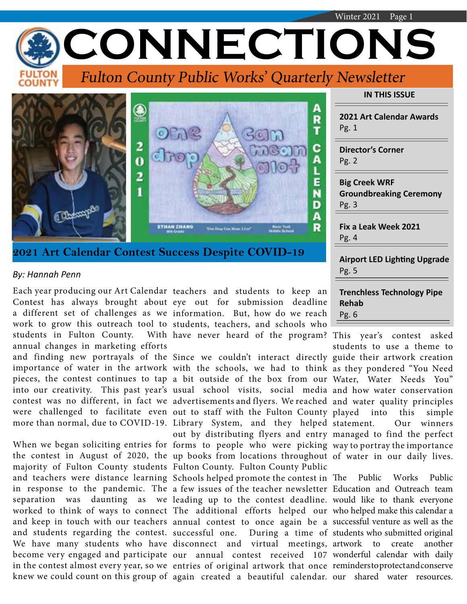|                                                                       | Winter 2021<br>Page 1                                           |
|-----------------------------------------------------------------------|-----------------------------------------------------------------|
| CONNECTIONS                                                           |                                                                 |
| TON<br><b>Fulton County Public Works' Quarterly Newsletter</b>        |                                                                 |
|                                                                       | <b>IN THIS ISSUE</b>                                            |
| R                                                                     | <b>2021 Art Calendar Awards</b><br>Pg. 1                        |
| с                                                                     | <b>Director's Corner</b><br>Pg. 2                               |
| E<br>D                                                                | <b>Big Creek WRF</b><br><b>Groundbreaking Ceremony</b><br>Pg. 3 |
| 116<br>A<br>R<br>The Draw Con Mose Libert                             | Fix a Leak Week 2021<br>Pg. 4                                   |
| 2021 Art Calendar Contest Success Despite COVID-19<br>By: Hannah Penn | <b>Airport LED Lighting Upgrade</b><br>Pg. 5                    |

students in Fulton County. annual changes in marketing efforts

and teachers were distance learning Schools helped promote the contest in The Public Works Public

Each year producing our Art Calendar teachers and students to keep an Contest has always brought about eye out for submission deadline a different set of challenges as we information. But, how do we reach work to grow this outreach tool to students, teachers, and schools who have never heard of the program? This year's contest asked

and finding new portrayals of the Since we couldn't interact directly guide their artwork creation importance of water in the artwork with the schools, we had to think as they pondered "You Need pieces, the contest continues to tap a bit outside of the box from our Water, Water Needs You" into our creativity. This past year's usual school visits, social media and how water conservation contest was no different, in fact we advertisements and flyers. We reached and water quality principles were challenged to facilitate even out to staff with the Fulton County played into this simple more than normal, due to COVID-19. Library System, and they helped When we began soliciting entries for forms to people who were picking way to portray the importance the contest in August of 2020, the up books from locations throughout of water in our daily lives. majority of Fulton County students Fulton County. Fulton County Public out by distributing flyers and entry managed to find the perfect

in response to the pandemic. The a few issues of the teacher newsletter Education and Outreach team separation was daunting as we leading up to the contest deadline. would like to thank everyone worked to think of ways to connect The additional efforts helped our who helped make this calendar a and keep in touch with our teachers annual contest to once again be a successful-venture as well as the and students regarding the contest. successful one. During a time of students who submitted original We have many students who have disconnect and virtual meetings, become very engaged and participate our annual contest received 107 wonderful calendar with daily in the contest almost every year, so we entries of original artwork that once reminders to protect and conserve knew we could count on this group of again created a beautiful calendar. our shared water resources.

| <b>Trenchless Technology Pipe</b> |  |
|-----------------------------------|--|
| Rehab                             |  |
| Pg. 6                             |  |
|                                   |  |

students to use a theme to Our winners

to create another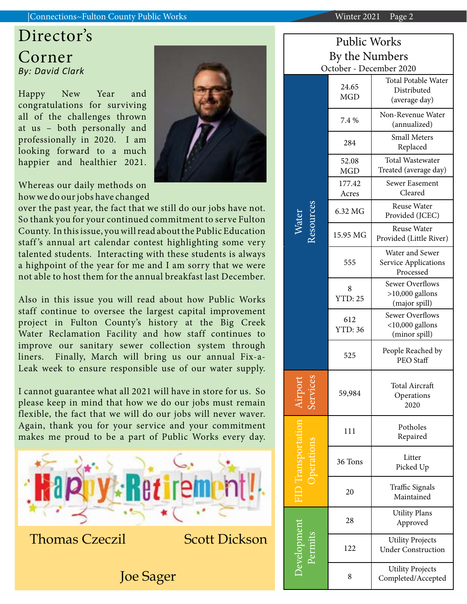#### |Connections~Fulton County Public Works Winter 2021 Page 2

# Director's Corner *By: David Clark*

Happy New Year and congratulations for surviving all of the challenges thrown at us – both personally and professionally in 2020. I am looking forward to a much happier and healthier 2021.

Whereas our daily methods on how we do our jobs have changed

over the past year, the fact that we still do our jobs have not. So thank you for your continued commitment to serve Fulton County. In this issue, you will read about the Public Education staff 's annual art calendar contest highlighting some very talented students. Interacting with these students is always a highpoint of the year for me and I am sorry that we were not able to host them for the annual breakfast last December.

Also in this issue you will read about how Public Works staff continue to oversee the largest capital improvement project in Fulton County's history at the Big Creek Water Reclamation Facility and how staff continues to improve our sanitary sewer collection system through liners. Finally, March will bring us our annual Fix-a-Leak week to ensure responsible use of our water supply.

I cannot guarantee what all 2021 will have in store for us. So please keep in mind that how we do our jobs must remain flexible, the fact that we will do our jobs will never waver. Again, thank you for your service and your commitment makes me proud to be a part of Public Works every day.



Joe Sager

| Public Works       |                       |                                                               |  |
|--------------------|-----------------------|---------------------------------------------------------------|--|
| By the Numbers     |                       |                                                               |  |
|                    |                       | October - December 2020                                       |  |
| lesource:<br>Nater | 24.65<br>MGD          | <b>Total Potable Water</b><br>Distributed<br>(average day)    |  |
|                    | 7.4 %                 | Non-Revenue Water<br>(annualized)                             |  |
|                    | 284                   | <b>Small Meters</b><br>Replaced                               |  |
|                    | 52.08<br><b>MGD</b>   | <b>Total Wastewater</b><br>Treated (average day)              |  |
|                    | 177.42                | Sewer Easement                                                |  |
|                    | Acres                 | Cleared                                                       |  |
|                    | 6.32 MG               | Reuse Water<br>Provided (JCEC)                                |  |
|                    | 15.95 MG              | Reuse Water<br>Provided (Little River)                        |  |
|                    | 555                   | Water and Sewer<br>Service Applications<br>Processed          |  |
|                    | 8<br><b>YTD: 25</b>   | <b>Sewer Overflows</b><br>$>10,000$ gallons<br>(major spill)  |  |
|                    | 612<br><b>YTD: 36</b> | <b>Sewer Overflows</b><br>$<$ 10,000 gallons<br>(minor spill) |  |
|                    | 525                   | People Reached by<br>PEO Staff                                |  |
|                    | 59,984                | <b>Total Aircraft</b><br>Operations<br>2020                   |  |
|                    | 111                   | Potholes<br>Repaired                                          |  |
|                    | 36 Tons               | Litter<br>Picked Up                                           |  |
|                    | 20                    | Traffic Signals<br>Maintained                                 |  |
| evelopme           | 28                    | <b>Utility Plans</b><br>Approved                              |  |
|                    | 122                   | <b>Utility Projects</b><br><b>Under Construction</b>          |  |
|                    | 8                     | <b>Utility Projects</b><br>Completed/Accepted                 |  |

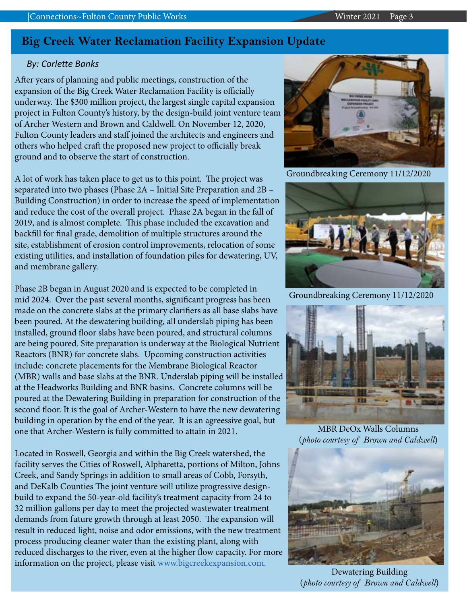## **Big Creek Water Reclamation Facility Expansion Update**

### *By: Corlette Banks*

After years of planning and public meetings, construction of the expansion of the Big Creek Water Reclamation Facility is officially underway. The \$300 million project, the largest single capital expansion project in Fulton County's history, by the design-build joint venture team of Archer Western and Brown and Caldwell. On November 12, 2020, Fulton County leaders and staff joined the architects and engineers and others who helped craft the proposed new project to officially break ground and to observe the start of construction.

A lot of work has taken place to get us to this point. The project was separated into two phases (Phase 2A – Initial Site Preparation and 2B – Building Construction) in order to increase the speed of implementation and reduce the cost of the overall project. Phase 2A began in the fall of 2019, and is almost complete. This phase included the excavation and backfill for final grade, demolition of multiple structures around the site, establishment of erosion control improvements, relocation of some existing utilities, and installation of foundation piles for dewatering, UV, and membrane gallery.

Phase 2B began in August 2020 and is expected to be completed in mid 2024. Over the past several months, significant progress has been made on the concrete slabs at the primary clarifiers as all base slabs have been poured. At the dewatering building, all underslab piping has been installed, ground floor slabs have been poured, and structural columns are being poured. Site preparation is underway at the Biological Nutrient Reactors (BNR) for concrete slabs. Upcoming construction activities include: concrete placements for the Membrane Biological Reactor (MBR) walls and base slabs at the BNR. Underslab piping will be installed at the Headworks Building and BNR basins. Concrete columns will be poured at the Dewatering Building in preparation for construction of the second floor. It is the goal of Archer-Western to have the new dewatering building in operation by the end of the year. It is an agreessive goal, but one that Archer-Western is fully committed to attain in 2021.

Located in Roswell, Georgia and within the Big Creek watershed, the facility serves the Cities of Roswell, Alpharetta, portions of Milton, Johns Creek, and Sandy Springs in addition to small areas of Cobb, Forsyth, and DeKalb Counties The joint venture will utilize progressive designbuild to expand the 50-year-old facility's treatment capacity from 24 to 32 million gallons per day to meet the projected wastewater treatment demands from future growth through at least 2050. The expansion will result in reduced light, noise and odor emissions, with the new treatment process producing cleaner water than the existing plant, along with reduced discharges to the river, even at the higher flow capacity. For more information on the project, please visit www.bigcreekexpansion.com.



Groundbreaking Ceremony 11/12/2020



Groundbreaking Ceremony 11/12/2020



MBR DeOx Walls Columns (*photo courtesy of Brown and Caldwell*)



Dewatering Building (*photo courtesy of Brown and Caldwell*)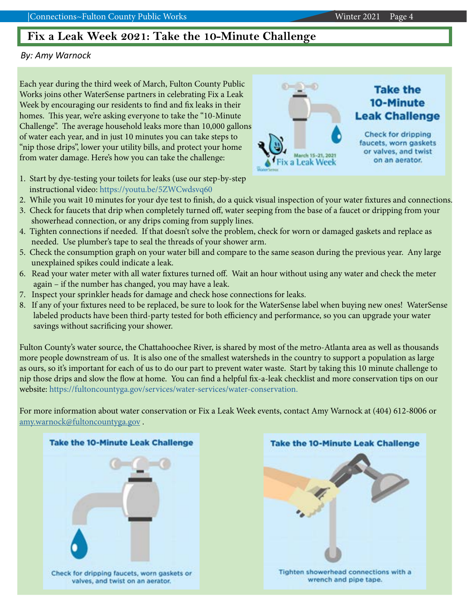## **Fix a Leak Week 2021: Take the 10-Minute Challenge**

#### *By: Amy Warnock*

Each year during the third week of March, Fulton County Public Works joins other WaterSense partners in celebrating Fix a Leak Week by encouraging our residents to find and fix leaks in their homes. This year, we're asking everyone to take the "10-Minute Challenge". The average household leaks more than 10,000 gallons of water each year, and in just 10 minutes you can take steps to "nip those drips", lower your utility bills, and protect your home from water damage. Here's how you can take the challenge:

- 1. Start by dye-testing your toilets for leaks (use our step-by-step instructional video: https://youtu.be/5ZWCwdsvq60
- 2. While you wait 10 minutes for your dye test to finish, do a quick visual inspection of your water fixtures and connections.
- 3. Check for faucets that drip when completely turned off, water seeping from the base of a faucet or dripping from your showerhead connection, or any drips coming from supply lines.
- 4. Tighten connections if needed. If that doesn't solve the problem, check for worn or damaged gaskets and replace as needed. Use plumber's tape to seal the threads of your shower arm.
- 5. Check the consumption graph on your water bill and compare to the same season during the previous year. Any large unexplained spikes could indicate a leak.
- 6. Read your water meter with all water fixtures turned off. Wait an hour without using any water and check the meter again – if the number has changed, you may have a leak.
- 7. Inspect your sprinkler heads for damage and check hose connections for leaks.
- 8. If any of your fixtures need to be replaced, be sure to look for the WaterSense label when buying new ones! WaterSense labeled products have been third-party tested for both efficiency and performance, so you can upgrade your water savings without sacrificing your shower.

Fulton County's water source, the Chattahoochee River, is shared by most of the metro-Atlanta area as well as thousands more people downstream of us. It is also one of the smallest watersheds in the country to support a population as large as ours, so it's important for each of us to do our part to prevent water waste. Start by taking this 10 minute challenge to nip those drips and slow the flow at home. You can find a helpful fix-a-leak checklist and more conservation tips on our website: https://fultoncountyga.gov/services/water-services/water-conservation.

For more information about water conservation or Fix a Leak Week events, contact Amy Warnock at (404) 612-8006 or [amy.warnock@fultoncountyga.gov](mailto:amy.warnock%40fultoncountyga.gov?subject=Fix%20a%20Leak%20Week) .

Check for dripping faucets, worn gaskets or valves, and twist on an aerator.

**Take the 10-Minute Leak Challenge** 





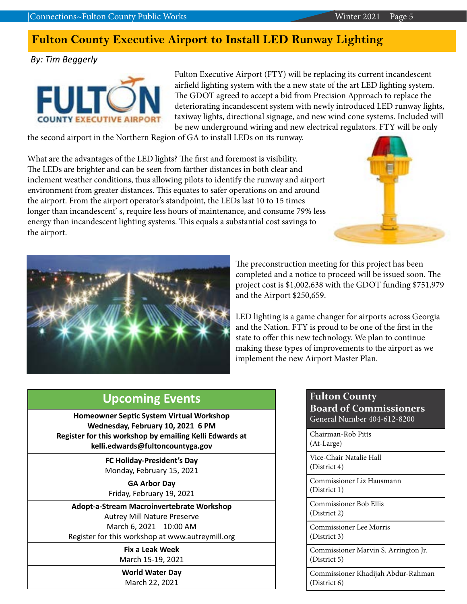# **Fulton County Executive Airport to Install LED Runway Lighting**

*By: Tim Beggerly*



Fulton Executive Airport (FTY) will be replacing its current incandescent airfield lighting system with the a new state of the art LED lighting system. The GDOT agreed to accept a bid from Precision Approach to replace the deteriorating incandescent system with newly introduced LED runway lights, taxiway lights, directional signage, and new wind cone systems. Included will be new underground wiring and new electrical regulators. FTY will be only

the second airport in the Northern Region of GA to install LEDs on its runway.

What are the advantages of the LED lights? The first and foremost is visibility. The LEDs are brighter and can be seen from farther distances in both clear and inclement weather conditions, thus allowing pilots to identify the runway and airport environment from greater distances. This equates to safer operations on and around the airport. From the airport operator's standpoint, the LEDs last 10 to 15 times longer than incandescent' s, require less hours of maintenance, and consume 79% less energy than incandescent lighting systems. This equals a substantial cost savings to the airport.





The preconstruction meeting for this project has been completed and a notice to proceed will be issued soon. The project cost is \$1,002,638 with the GDOT funding \$751,979 and the Airport \$250,659.

LED lighting is a game changer for airports across Georgia and the Nation. FTY is proud to be one of the first in the state to offer this new technology. We plan to continue making these types of improvements to the airport as we implement the new Airport Master Plan.

## **Upcoming Events**

**Homeowner Septic System Virtual Workshop Wednesday, February 10, 2021 6 PM Register for this workshop by emailing Kelli Edwards at kelli.edwards@fultoncountyga.gov**

> **FC Holiday-President's Day** Monday, February 15, 2021

**GA Arbor Day** Friday, February 19, 2021

**Adopt-a-Stream Macroinvertebrate Workshop** Autrey Mill Nature Preserve March 6, 2021 10:00 AM Register for this workshop at www.autreymill.org

> **Fix a Leak Week** March 15-19, 2021

**World Water Day**

March 22, 2021